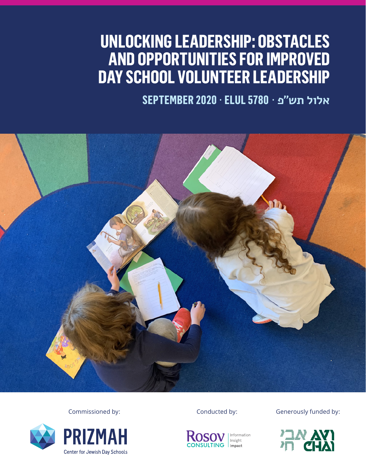# **UNLOCKING LEADERSHIP: OBSTACLES AND OPPORTUNITIES FOR IMPROVED DAY SCHOOL VOLUNTEER LEADERSHIP**

**אלול תש״פ** · **5780 ELUL** · **2020 SEPTEMBER**









Commissioned by: Conducted by: Conducted by: Generously funded by:

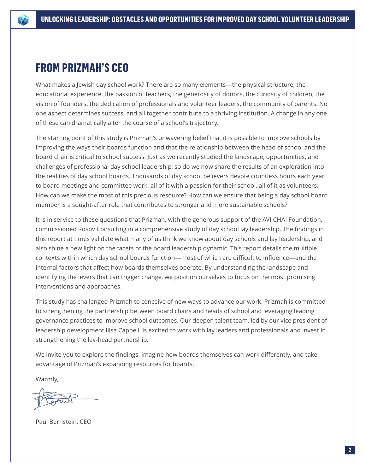

## **FROM PRIZMAH'S CEO**

What makes a Jewish day school work? There are so many elements—the physical structure, the educational experience, the passion of teachers, the generosity of donors, the curiosity of children, the vision of founders, the dedication of professionals and volunteer leaders, the community of parents. No one aspect determines success, and all together contribute to a thriving institution. A change in any one of these can dramatically alter the course of a school's trajectory.

The starting point of this study is Prizmah's unwavering belief that it is possible to improve schools by improving the ways their boards function and that the relationship between the head of school and the board chair is critical to school success. Just as we recently studied the landscape, opportunities, and challenges of professional day school leadership, so do we now share the results of an exploration into the realities of day school boards. Thousands of day school believers devote countless hours each year to board meetings and committee work, all of it with a passion for their school, all of it as volunteers. How can we make the most of this precious resource? How can we ensure that being a day school board member is a sought-after role that contributes to stronger and more sustainable schools?

It is in service to these questions that Prizmah, with the generous support of the AVI CHAI Foundation, commissioned Rosov Consulting in a comprehensive study of day school lay leadership. The findings in this report at times validate what many of us think we know about day schools and lay leadership, and also shine a new light on the facets of the board leadership dynamic. This report details the multiple contexts within which day school boards function—most of which are difficult to influence—and the internal factors that affect how boards themselves operate. By understanding the landscape and identifying the levers that can trigger change, we position ourselves to focus on the most promising interventions and approaches.

This study has challenged Prizmah to conceive of new ways to advance our work. Prizmah is committed to strengthening the partnership between board chairs and heads of school and leveraging leading governance practices to improve school outcomes. Our deepen talent team, led by our vice president of leadership development Ilisa Cappell, is excited to work with lay leaders and professionals and invest in strengthening the lay-head partnership.

We invite you to explore the findings, imagine how boards themselves can work differently, and take advantage of Prizmah's expanding resources for boards.

Warmly,

Paul Bernstein, CEO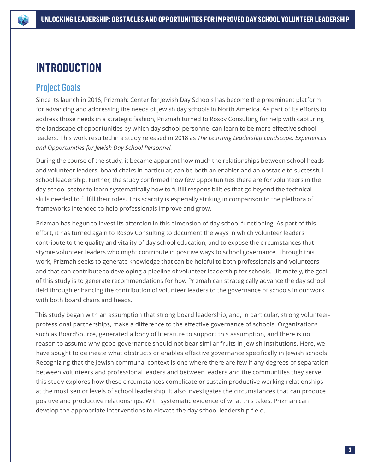# **INTRODUCTION**

## Project Goals

Since its launch in 2016, Prizmah: Center for Jewish Day Schools has become the preeminent platform for advancing and addressing the needs of Jewish day schools in North America. As part of its efforts to address those needs in a strategic fashion, Prizmah turned to Rosov Consulting for help with capturing the landscape of opportunities by which day school personnel can learn to be more effective school leaders. This work resulted in a study released in 2018 as *The Learning Leadership Landscape: Experiences and Opportunities for Jewish Day School Personnel.* 

During the course of the study, it became apparent how much the relationships between school heads and volunteer leaders, board chairs in particular, can be both an enabler and an obstacle to successful school leadership. Further, the study confirmed how few opportunities there are for volunteers in the day school sector to learn systematically how to fulfill responsibilities that go beyond the technical skills needed to fulfill their roles. This scarcity is especially striking in comparison to the plethora of frameworks intended to help professionals improve and grow.

Prizmah has begun to invest its attention in this dimension of day school functioning. As part of this effort, it has turned again to Rosov Consulting to document the ways in which volunteer leaders contribute to the quality and vitality of day school education, and to expose the circumstances that stymie volunteer leaders who might contribute in positive ways to school governance. Through this work, Prizmah seeks to generate knowledge that can be helpful to both professionals and volunteers and that can contribute to developing a pipeline of volunteer leadership for schools. Ultimately, the goal of this study is to generate recommendations for how Prizmah can strategically advance the day school field through enhancing the contribution of volunteer leaders to the governance of schools in our work with both board chairs and heads.

This study began with an assumption that strong board leadership, and, in particular, strong volunteerprofessional partnerships, make a difference to the effective governance of schools. Organizations such as BoardSource, generated a body of literature to support this assumption, and there is no reason to assume why good governance should not bear similar fruits in Jewish institutions. Here, we have sought to delineate what obstructs or enables effective governance specifically in Jewish schools. Recognizing that the Jewish communal context is one where there are few if any degrees of separation between volunteers and professional leaders and between leaders and the communities they serve, this study explores how these circumstances complicate or sustain productive working relationships at the most senior levels of school leadership. It also investigates the circumstances that can produce positive and productive relationships. With systematic evidence of what this takes, Prizmah can develop the appropriate interventions to elevate the day school leadership field.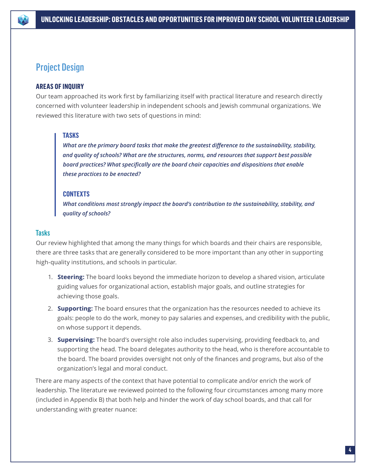

## Project Design

## **AREAS OF INQUIRY**

Our team approached its work first by familiarizing itself with practical literature and research directly concerned with volunteer leadership in independent schools and Jewish communal organizations. We reviewed this literature with two sets of questions in mind:

## **TASKS**

*What are the primary board tasks that make the greatest difference to the sustainability, stability, and quality of schools? What are the structures, norms, and resources that support best possible board practices? What specifically are the board chair capacities and dispositions that enable these practices to be enacted?*

## **CONTEXTS**

*What conditions most strongly impact the board's contribution to the sustainability, stability, and quality of schools?*

## **Tasks**

Our review highlighted that among the many things for which boards and their chairs are responsible, there are three tasks that are generally considered to be more important than any other in supporting high-quality institutions, and schools in particular.

- 1. **Steering:** The board looks beyond the immediate horizon to develop a shared vision, articulate guiding values for organizational action, establish major goals, and outline strategies for achieving those goals.
- 2. **Supporting:** The board ensures that the organization has the resources needed to achieve its goals: people to do the work, money to pay salaries and expenses, and credibility with the public, on whose support it depends.
- 3. **Supervising:** The board's oversight role also includes supervising, providing feedback to, and supporting the head. The board delegates authority to the head, who is therefore accountable to the board. The board provides oversight not only of the finances and programs, but also of the organization's legal and moral conduct.

There are many aspects of the context that have potential to complicate and/or enrich the work of leadership. The literature we reviewed pointed to the following four circumstances among many more (included in Appendix B) that both help and hinder the work of day school boards, and that call for understanding with greater nuance: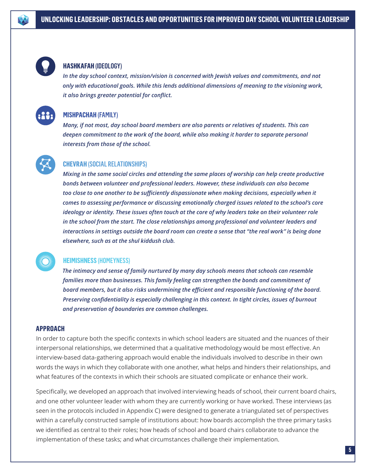

## **HASHKAFAH** (IDEOLOGY)

*In the day school context, mission/vision is concerned with Jewish values and commitments, and not only with educational goals. While this lends additional dimensions of meaning to the visioning work, it also brings greater potential for conflict.*



## **MISHPACHAH** (FAMILY)

*Many, if not most, day school board members are also parents or relatives of students. This can deepen commitment to the work of the board, while also making it harder to separate personal interests from those of the school.*



## **CHEVRAH** (SOCIAL RELATIONSHIPS)

*Mixing in the same social circles and attending the same places of worship can help create productive bonds between volunteer and professional leaders. However, these individuals can also become too close to one another to be sufficiently dispassionate when making decisions, especially when it comes to assessing performance or discussing emotionally charged issues related to the school's core ideology or identity. These issues often touch at the core of why leaders take on their volunteer role in the school from the start. The close relationships among professional and volunteer leaders and interactions in settings outside the board room can create a sense that "the real work" is being done elsewhere, such as at the shul kiddush club.*

## **HEIMISHNESS** (HOMEYNESS)

*The intimacy and sense of family nurtured by many day schools means that schools can resemble families more than businesses. This family feeling can strengthen the bonds and commitment of board members, but it also risks undermining the efficient and responsible functioning of the board. Preserving confidentiality is especially challenging in this context. In tight circles, issues of burnout and preservation of boundaries are common challenges.*

#### **APPROACH**

In order to capture both the specific contexts in which school leaders are situated and the nuances of their interpersonal relationships, we determined that a qualitative methodology would be most effective. An interview-based data-gathering approach would enable the individuals involved to describe in their own words the ways in which they collaborate with one another, what helps and hinders their relationships, and what features of the contexts in which their schools are situated complicate or enhance their work.

Specifically, we developed an approach that involved interviewing heads of school, their current board chairs, and one other volunteer leader with whom they are currently working or have worked. These interviews (as seen in the protocols included in Appendix C) were designed to generate a triangulated set of perspectives within a carefully constructed sample of institutions about: how boards accomplish the three primary tasks we identified as central to their roles; how heads of school and board chairs collaborate to advance the implementation of these tasks; and what circumstances challenge their implementation.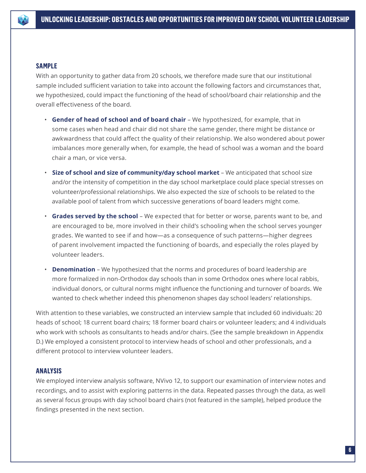#### **SAMPLE**

With an opportunity to gather data from 20 schools, we therefore made sure that our institutional sample included sufficient variation to take into account the following factors and circumstances that, we hypothesized, could impact the functioning of the head of school/board chair relationship and the overall effectiveness of the board.

- **Gender of head of school and of board chair** We hypothesized, for example, that in some cases when head and chair did not share the same gender, there might be distance or awkwardness that could affect the quality of their relationship. We also wondered about power imbalances more generally when, for example, the head of school was a woman and the board chair a man, or vice versa.
- **Size of school and size of community/day school market**  We anticipated that school size and/or the intensity of competition in the day school marketplace could place special stresses on volunteer/professional relationships. We also expected the size of schools to be related to the available pool of talent from which successive generations of board leaders might come.
- **Grades served by the school** We expected that for better or worse, parents want to be, and are encouraged to be, more involved in their child's schooling when the school serves younger grades. We wanted to see if and how—as a consequence of such patterns—higher degrees of parent involvement impacted the functioning of boards, and especially the roles played by volunteer leaders.
- **Denomination** We hypothesized that the norms and procedures of board leadership are more formalized in non-Orthodox day schools than in some Orthodox ones where local rabbis, individual donors, or cultural norms might influence the functioning and turnover of boards. We wanted to check whether indeed this phenomenon shapes day school leaders' relationships.

With attention to these variables, we constructed an interview sample that included 60 individuals: 20 heads of school; 18 current board chairs; 18 former board chairs or volunteer leaders; and 4 individuals who work with schools as consultants to heads and/or chairs. (See the sample breakdown in Appendix D.) We employed a consistent protocol to interview heads of school and other professionals, and a different protocol to interview volunteer leaders.

## **ANALYSIS**

We employed interview analysis software, NVivo 12, to support our examination of interview notes and recordings, and to assist with exploring patterns in the data. Repeated passes through the data, as well as several focus groups with day school board chairs (not featured in the sample), helped produce the findings presented in the next section.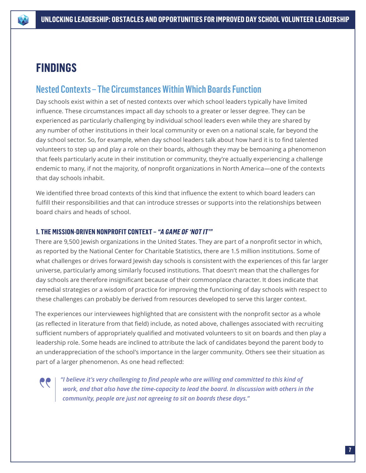# **FINDINGS**

## Nested Contexts – The Circumstances Within Which Boards Function

Day schools exist within a set of nested contexts over which school leaders typically have limited influence. These circumstances impact all day schools to a greater or lesser degree. They can be experienced as particularly challenging by individual school leaders even while they are shared by any number of other institutions in their local community or even on a national scale, far beyond the day school sector. So, for example, when day school leaders talk about how hard it is to find talented volunteers to step up and play a role on their boards, although they may be bemoaning a phenomenon that feels particularly acute in their institution or community, they're actually experiencing a challenge endemic to many, if not the majority, of nonprofit organizations in North America—one of the contexts that day schools inhabit.

We identified three broad contexts of this kind that influence the extent to which board leaders can fulfill their responsibilities and that can introduce stresses or supports into the relationships between board chairs and heads of school.

## **1. THE MISSION-DRIVEN NONPROFIT CONTEXT – "A GAME OF 'NOT IT'"**

There are 9,500 Jewish organizations in the United States. They are part of a nonprofit sector in which, as reported by the National Center for Charitable Statistics, there are 1.5 million institutions. Some of what challenges or drives forward Jewish day schools is consistent with the experiences of this far larger universe, particularly among similarly focused institutions. That doesn't mean that the challenges for day schools are therefore insignificant because of their commonplace character. It does indicate that remedial strategies or a wisdom of practice for improving the functioning of day schools with respect to these challenges can probably be derived from resources developed to serve this larger context.

The experiences our interviewees highlighted that are consistent with the nonprofit sector as a whole (as reflected in literature from that field) include, as noted above, challenges associated with recruiting sufficient numbers of appropriately qualified and motivated volunteers to sit on boards and then play a leadership role. Some heads are inclined to attribute the lack of candidates beyond the parent body to an underappreciation of the school's importance in the larger community. Others see their situation as part of a larger phenomenon. As one head reflected:

*"I believe it's very challenging to find people who are willing and committed to this kind of work, and that also have the time-capacity to lead the board. In discussion with others in the community, people are just not agreeing to sit on boards these days."*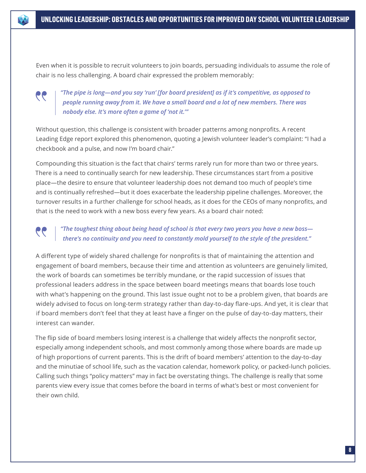

Even when it is possible to recruit volunteers to join boards, persuading individuals to assume the role of chair is no less challenging. A board chair expressed the problem memorably:



*"The pipe is long—and you say 'run' [for board president] as if it's competitive, as opposed to people running away from it. We have a small board and a lot of new members. There was nobody else. It's more often a game of 'not it.'"* 

Without question, this challenge is consistent with broader patterns among nonprofits. A recent Leading Edge report explored this phenomenon, quoting a Jewish volunteer leader's complaint: "I had a checkbook and a pulse, and now I'm board chair."

Compounding this situation is the fact that chairs' terms rarely run for more than two or three years. There is a need to continually search for new leadership. These circumstances start from a positive place—the desire to ensure that volunteer leadership does not demand too much of people's time and is continually refreshed—but it does exacerbate the leadership pipeline challenges. Moreover, the turnover results in a further challenge for school heads, as it does for the CEOs of many nonprofits, and that is the need to work with a new boss every few years. As a board chair noted:

## *"The toughest thing about being head of school is that every two years you have a new boss there's no continuity and you need to constantly mold yourself to the style of the president."*

A different type of widely shared challenge for nonprofits is that of maintaining the attention and engagement of board members, because their time and attention as volunteers are genuinely limited, the work of boards can sometimes be terribly mundane, or the rapid succession of issues that professional leaders address in the space between board meetings means that boards lose touch with what's happening on the ground. This last issue ought not to be a problem given, that boards are widely advised to focus on long-term strategy rather than day-to-day flare-ups. And yet, it is clear that if board members don't feel that they at least have a finger on the pulse of day-to-day matters, their interest can wander.

The flip side of board members losing interest is a challenge that widely affects the nonprofit sector, especially among independent schools, and most commonly among those where boards are made up of high proportions of current parents. This is the drift of board members' attention to the day-to-day and the minutiae of school life, such as the vacation calendar, homework policy, or packed-lunch policies. Calling such things "policy matters" may in fact be overstating things. The challenge is really that some parents view every issue that comes before the board in terms of what's best or most convenient for their own child.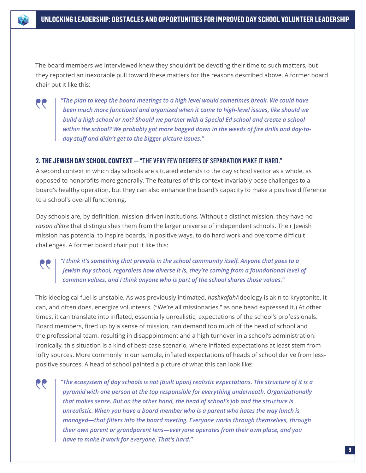The board members we interviewed knew they shouldn't be devoting their time to such matters, but they reported an inexorable pull toward these matters for the reasons described above. A former board chair put it like this:



*"The plan to keep the board meetings to a high level would sometimes break. We could have been much more functional and organized when it came to high-level issues, like should we build a high school or not? Should we partner with a Special Ed school and create a school within the school? We probably got more bogged down in the weeds of fire drills and day-today stuff and didn't get to the bigger-picture issues."*

## **2. THE JEWISH DAY SCHOOL CONTEXT —** "THE VERY FEW DEGREES OF SEPARATION MAKE IT HARD."

A second context in which day schools are situated extends to the day school sector as a whole, as opposed to nonprofits more generally. The features of this context invariably pose challenges to a board's healthy operation, but they can also enhance the board's capacity to make a positive difference to a school's overall functioning.

Day schools are, by definition, mission-driven institutions. Without a distinct mission, they have no *raison d'être* that distinguishes them from the larger universe of independent schools. Their Jewish mission has potential to inspire boards, in positive ways, to do hard work and overcome difficult challenges. A former board chair put it like this:

## *"I think it's something that prevails in the school community itself. Anyone that goes to a Jewish day school, regardless how diverse it is, they're coming from a foundational level of common values, and I think anyone who is part of the school shares those values."*

This ideological fuel is unstable. As was previously intimated, *hashkafah*/ideology is akin to kryptonite. It can, and often does, energize volunteers. ("We're all missionaries," as one head expressed it.) At other times, it can translate into inflated, essentially unrealistic, expectations of the school's professionals. Board members, fired up by a sense of mission, can demand too much of the head of school and the professional team, resulting in disappointment and a high turnover in a school's administration. Ironically, this situation is a kind of best-case scenario, where inflated expectations at least stem from lofty sources. More commonly in our sample, inflated expectations of heads of school derive from lesspositive sources. A head of school painted a picture of what this can look like:

66

*"The ecosystem of day schools is not [built upon] realistic expectations. The structure of it is a pyramid with one person at the top responsible for everything underneath. Organizationally that makes sense. But on the other hand, the head of school's job and the structure is unrealistic. When you have a board member who is a parent who hates the way lunch is managed—that filters into the board meeting. Everyone works through themselves, through their own parent or grandparent lens—everyone operates from their own place, and you have to make it work for everyone. That's hard."*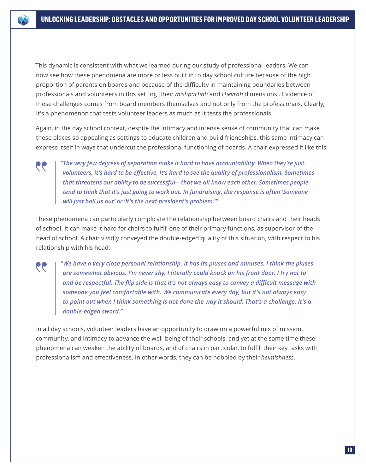This dynamic is consistent with what we learned during our study of professional leaders. We can now see how these phenomena are more or less built in to day school culture because of the high proportion of parents on boards and because of the difficulty in maintaining boundaries between professionals and volunteers in this setting [their *mishpachah* and *chevrah* dimensions]. Evidence of these challenges comes from board members themselves and not only from the professionals. Clearly, it's a phenomenon that tests volunteer leaders as much as it tests the professionals.

Again, in the day school context, despite the intimacy and intense sense of community that can make these places so appealing as settings to educate children and build friendships, this same intimacy can express itself in ways that undercut the professional functioning of boards. A chair expressed it like this:



 $\bullet\bullet$ 

*"The very few degrees of separation make it hard to have accountability. When they're just volunteers, it's hard to be effective. It's hard to see the quality of professionalism. Sometimes that threatens our ability to be successful—that we all know each other. Sometimes people tend to think that it's just going to work out. In fundraising, the response is often 'Someone will just bail us out' or 'It's the next president's problem.'"* 

These phenomena can particularly complicate the relationship between board chairs and their heads of school. It can make it hard for chairs to fulfill one of their primary functions, as supervisor of the head of school. A chair vividly conveyed the double-edged quality of this situation, with respect to his relationship with his head:

*"We have a very close personal relationship. It has its pluses and minuses. I think the pluses are somewhat obvious. I'm never shy. I literally could knock on his front door. I try not to and be respectful. The flip side is that it's not always easy to convey a difficult message with someone you feel comfortable with. We communicate every day, but it's not always easy to point out when I think something is not done the way it should. That's a challenge. It's a double-edged sword."*

In all day schools, volunteer leaders have an opportunity to draw on a powerful mix of mission, community, and intimacy to advance the well-being of their schools, and yet at the same time these phenomena can weaken the ability of boards, and of chairs in particular, to fulfill their key tasks with professionalism and effectiveness. In other words, they can be hobbled by their *heimishness*.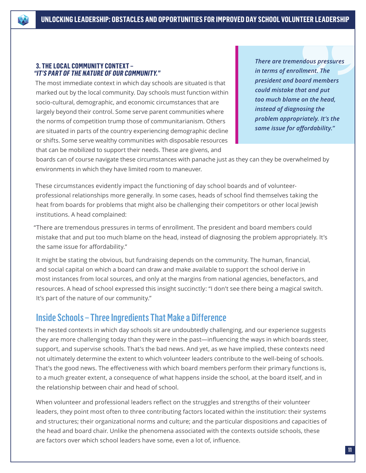#### **3. THE LOCAL COMMUNITY CONTEXT – "IT'S PART OF THE NATURE OF OUR COMMUNITY."**

The most immediate context in which day schools are situated is that marked out by the local community. Day schools must function within socio-cultural, demographic, and economic circumstances that are largely beyond their control. Some serve parent communities where the norms of competition trump those of communitarianism. Others are situated in parts of the country experiencing demographic decline or shifts. Some serve wealthy communities with disposable resources that can be mobilized to support their needs. These are givens, and

*There are tremendous pressures in terms of enrollment. The president and board members could mistake that and put too much blame on the head, instead of diagnosing the problem appropriately. It's the same issue for affordability."*

boards can of course navigate these circumstances with panache just as they can they be overwhelmed by environments in which they have limited room to maneuver.

These circumstances evidently impact the functioning of day school boards and of volunteerprofessional relationships more generally. In some cases, heads of school find themselves taking the heat from boards for problems that might also be challenging their competitors or other local Jewish institutions. A head complained:

"There are tremendous pressures in terms of enrollment. The president and board members could mistake that and put too much blame on the head, instead of diagnosing the problem appropriately. It's the same issue for affordability."

It might be stating the obvious, but fundraising depends on the community. The human, financial, and social capital on which a board can draw and make available to support the school derive in most instances from local sources, and only at the margins from national agencies, benefactors, and resources. A head of school expressed this insight succinctly: "I don't see there being a magical switch. It's part of the nature of our community."

## Inside Schools – Three Ingredients That Make a Difference

The nested contexts in which day schools sit are undoubtedly challenging, and our experience suggests they are more challenging today than they were in the past—influencing the ways in which boards steer, support, and supervise schools. That's the bad news. And yet, as we have implied, these contexts need not ultimately determine the extent to which volunteer leaders contribute to the well-being of schools. That's the good news. The effectiveness with which board members perform their primary functions is, to a much greater extent, a consequence of what happens inside the school, at the board itself, and in the relationship between chair and head of school.

When volunteer and professional leaders reflect on the struggles and strengths of their volunteer leaders, they point most often to three contributing factors located within the institution: their systems and structures; their organizational norms and culture; and the particular dispositions and capacities of the head and board chair. Unlike the phenomena associated with the contexts outside schools, these are factors over which school leaders have some, even a lot of, influence.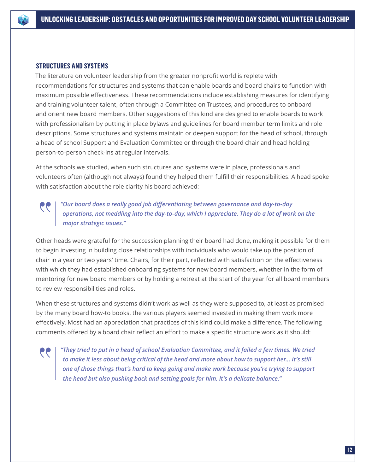

#### **STRUCTURES AND SYSTEMS**

The literature on volunteer leadership from the greater nonprofit world is replete with recommendations for structures and systems that can enable boards and board chairs to function with maximum possible effectiveness. These recommendations include establishing measures for identifying and training volunteer talent, often through a Committee on Trustees, and procedures to onboard and orient new board members. Other suggestions of this kind are designed to enable boards to work with professionalism by putting in place bylaws and guidelines for board member term limits and role descriptions. Some structures and systems maintain or deepen support for the head of school, through a head of school Support and Evaluation Committee or through the board chair and head holding person-to-person check-ins at regular intervals.

At the schools we studied, when such structures and systems were in place, professionals and volunteers often (although not always) found they helped them fulfill their responsibilities. A head spoke with satisfaction about the role clarity his board achieved:

## *"Our board does a really good job differentiating between governance and day-to-day operations, not meddling into the day-to-day, which I appreciate. They do a lot of work on the major strategic issues."*

Other heads were grateful for the succession planning their board had done, making it possible for them to begin investing in building close relationships with individuals who would take up the position of chair in a year or two years' time. Chairs, for their part, reflected with satisfaction on the effectiveness with which they had established onboarding systems for new board members, whether in the form of mentoring for new board members or by holding a retreat at the start of the year for all board members to review responsibilities and roles.

When these structures and systems didn't work as well as they were supposed to, at least as promised by the many board how-to books, the various players seemed invested in making them work more effectively. Most had an appreciation that practices of this kind could make a difference. The following comments offered by a board chair reflect an effort to make a specific structure work as it should:

*"They tried to put in a head of school Evaluation Committee, and it failed a few times. We tried to make it less about being critical of the head and more about how to support her... It's still one of those things that's hard to keep going and make work because you're trying to support the head but also pushing back and setting goals for him. It's a delicate balance."*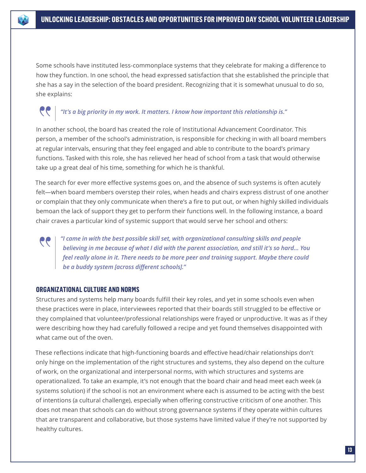

Some schools have instituted less-commonplace systems that they celebrate for making a difference to how they function. In one school, the head expressed satisfaction that she established the principle that she has a say in the selection of the board president. Recognizing that it is somewhat unusual to do so, she explains:

## *"It's a big priority in my work. It matters. I know how important this relationship is."*

In another school, the board has created the role of Institutional Advancement Coordinator. This person, a member of the school's administration, is responsible for checking in with all board members at regular intervals, ensuring that they feel engaged and able to contribute to the board's primary functions. Tasked with this role, she has relieved her head of school from a task that would otherwise take up a great deal of his time, something for which he is thankful.

The search for ever more effective systems goes on, and the absence of such systems is often acutely felt—when board members overstep their roles, when heads and chairs express distrust of one another or complain that they only communicate when there's a fire to put out, or when highly skilled individuals bemoan the lack of support they get to perform their functions well. In the following instance, a board chair craves a particular kind of systemic support that would serve her school and others:

*"I came in with the best possible skill set, with organizational consulting skills and people believing in me because of what I did with the parent association, and still it's so hard... You feel really alone in it. There needs to be more peer and training support. Maybe there could be a buddy system [across different schools]."* 

#### **ORGANIZATIONAL CULTURE AND NORMS**

Structures and systems help many boards fulfill their key roles, and yet in some schools even when these practices were in place, interviewees reported that their boards still struggled to be effective or they complained that volunteer/professional relationships were frayed or unproductive. It was as if they were describing how they had carefully followed a recipe and yet found themselves disappointed with what came out of the oven.

These reflections indicate that high-functioning boards and effective head/chair relationships don't only hinge on the implementation of the right structures and systems, they also depend on the culture of work, on the organizational and interpersonal norms, with which structures and systems are operationalized. To take an example, it's not enough that the board chair and head meet each week (a systems solution) if the school is not an environment where each is assumed to be acting with the best of intentions (a cultural challenge), especially when offering constructive criticism of one another. This does not mean that schools can do without strong governance systems if they operate within cultures that are transparent and collaborative, but those systems have limited value if they're not supported by healthy cultures.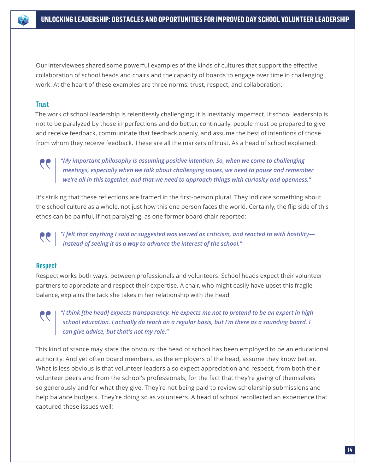

Our interviewees shared some powerful examples of the kinds of cultures that support the effective collaboration of school heads and chairs and the capacity of boards to engage over time in challenging work. At the heart of these examples are three norms: trust, respect, and collaboration.

## **Trust**

The work of school leadership is relentlessly challenging; it is inevitably imperfect. If school leadership is not to be paralyzed by those imperfections and do better, continually, people must be prepared to give and receive feedback, communicate that feedback openly, and assume the best of intentions of those from whom they receive feedback. These are all the markers of trust. As a head of school explained:



*"My important philosophy is assuming positive intention. So, when we come to challenging meetings, especially when we talk about challenging issues, we need to pause and remember we're all in this together, and that we need to approach things with curiosity and openness."*

It's striking that these reflections are framed in the first-person plural. They indicate something about the school culture as a whole, not just how this one person faces the world. Certainly, the flip side of this ethos can be painful, if not paralyzing, as one former board chair reported:



*"I felt that anything I said or suggested was viewed as criticism, and reacted to with hostility instead of seeing it as a way to advance the interest of the school."* 

## Respect

Respect works both ways: between professionals and volunteers. School heads expect their volunteer partners to appreciate and respect their expertise. A chair, who might easily have upset this fragile balance, explains the tack she takes in her relationship with the head:

*"I think [the head] expects transparency. He expects me not to pretend to be an expert in high school education. I actually do teach on a regular basis, but I'm there as a sounding board. I can give advice, but that's not my role."* 

This kind of stance may state the obvious: the head of school has been employed to be an educational authority. And yet often board members, as the employers of the head, assume they know better. What is less obvious is that volunteer leaders also expect appreciation and respect, from both their volunteer peers and from the school's professionals, for the fact that they're giving of themselves so generously and for what they give. They're not being paid to review scholarship submissions and help balance budgets. They're doing so as volunteers. A head of school recollected an experience that captured these issues well: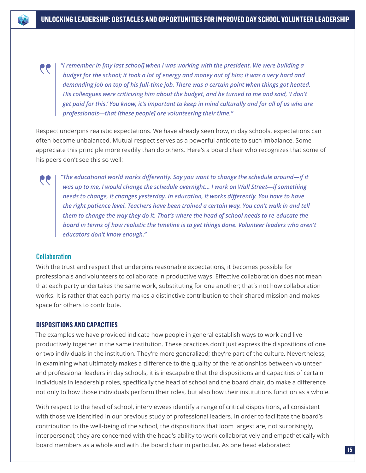*"I remember in [my last school] when I was working with the president. We were building a budget for the school; it took a lot of energy and money out of him; it was a very hard and demanding job on top of his full-time job. There was a certain point when things got heated. His colleagues were criticizing him about the budget, and he turned to me and said, 'I don't get paid for this.' You know, it's important to keep in mind culturally and for all of us who are professionals—that [these people] are volunteering their time."*

Respect underpins realistic expectations. We have already seen how, in day schools, expectations can often become unbalanced. Mutual respect serves as a powerful antidote to such imbalance. Some appreciate this principle more readily than do others. Here's a board chair who recognizes that some of his peers don't see this so well:

*"The educational world works differently. Say you want to change the schedule around—if it was up to me, I would change the schedule overnight... I work on Wall Street—if something needs to change, it changes yesterday. In education, it works differently. You have to have the right patience level. Teachers have been trained a certain way. You can't walk in and tell them to change the way they do it. That's where the head of school needs to re-educate the board in terms of how realistic the timeline is to get things done. Volunteer leaders who aren't educators don't know enough."*

## **Collaboration**

 $\bullet$ 

66

With the trust and respect that underpins reasonable expectations, it becomes possible for professionals and volunteers to collaborate in productive ways. Effective collaboration does not mean that each party undertakes the same work, substituting for one another; that's not how collaboration works. It is rather that each party makes a distinctive contribution to their shared mission and makes space for others to contribute.

#### **DISPOSITIONS AND CAPACITIES**

The examples we have provided indicate how people in general establish ways to work and live productively together in the same institution. These practices don't just express the dispositions of one or two individuals in the institution. They're more generalized; they're part of the culture. Nevertheless, in examining what ultimately makes a difference to the quality of the relationships between volunteer and professional leaders in day schools, it is inescapable that the dispositions and capacities of certain individuals in leadership roles, specifically the head of school and the board chair, do make a difference not only to how those individuals perform their roles, but also how their institutions function as a whole.

With respect to the head of school, interviewees identify a range of critical dispositions, all consistent with those we identified in our previous study of professional leaders. In order to facilitate the board's contribution to the well-being of the school, the dispositions that loom largest are, not surprisingly, interpersonal; they are concerned with the head's ability to work collaboratively and empathetically with board members as a whole and with the board chair in particular. As one head elaborated: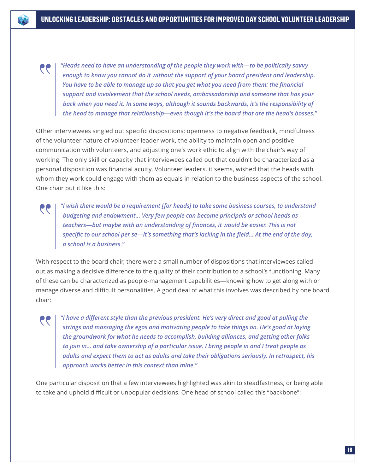*"Heads need to have an understanding of the people they work with—to be politically savvy enough to know you cannot do it without the support of your board president and leadership. You have to be able to manage up so that you get what you need from them: the financial support and involvement that the school needs, ambassadorship and someone that has your back when you need it. In some ways, although it sounds backwards, it's the responsibility of the head to manage that relationship—even though it's the board that are the head's bosses."*

 $\bullet$ 

Other interviewees singled out specific dispositions: openness to negative feedback, mindfulness of the volunteer nature of volunteer-leader work, the ability to maintain open and positive communication with volunteers, and adjusting one's work ethic to align with the chair's way of working. The only skill or capacity that interviewees called out that couldn't be characterized as a personal disposition was financial acuity. Volunteer leaders, it seems, wished that the heads with whom they work could engage with them as equals in relation to the business aspects of the school. One chair put it like this:

*"I wish there would be a requirement [for heads] to take some business courses, to understand budgeting and endowment... Very few people can become principals or school heads as teachers—but maybe with an understanding of finances, it would be easier. This is not specific to our school per se—it's something that's lacking in the field... At the end of the day, a school is a business."*

With respect to the board chair, there were a small number of dispositions that interviewees called out as making a decisive difference to the quality of their contribution to a school's functioning. Many of these can be characterized as people-management capabilities—knowing how to get along with or manage diverse and difficult personalities. A good deal of what this involves was described by one board chair:

*"I have a different style than the previous president. He's very direct and good at pulling the strings and massaging the egos and motivating people to take things on. He's good at laying the groundwork for what he needs to accomplish, building alliances, and getting other folks to join in... and take ownership of a particular issue. I bring people in and I treat people as adults and expect them to act as adults and take their obligations seriously. In retrospect, his approach works better in this context than mine."*

One particular disposition that a few interviewees highlighted was akin to steadfastness, or being able to take and uphold difficult or unpopular decisions. One head of school called this "backbone":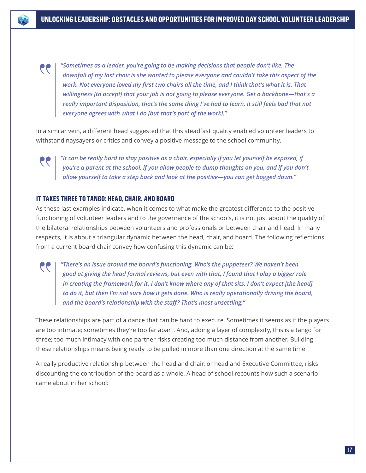*"Sometimes as a leader, you're going to be making decisions that people don't like. The downfall of my last chair is she wanted to please everyone and couldn't take this aspect of the work. Not everyone loved my first two chairs all the time, and I think that's what it is. That willingness [to accept] that your job is not going to please everyone. Get a backbone—that's a really important disposition, that's the same thing I've had to learn, it still feels bad that not everyone agrees with what I do [but that's part of the work]."* 

In a similar vein, a different head suggested that this steadfast quality enabled volunteer leaders to withstand naysayers or critics and convey a positive message to the school community.



GG

 $\mathbf{e}$ 

*"It can be really hard to stay positive as a chair, especially if you let yourself be exposed, if you're a parent at the school, if you allow people to dump thoughts on you, and if you don't allow yourself to take a step back and look at the positive—you can get bogged down."*

## **IT TAKES THREE TO TANGO: HEAD, CHAIR, AND BOARD**

As these last examples indicate, when it comes to what make the greatest difference to the positive functioning of volunteer leaders and to the governance of the schools, it is not just about the quality of the bilateral relationships between volunteers and professionals or between chair and head. In many respects, it is about a triangular dynamic between the head, chair, and board. The following reflections from a current board chair convey how confusing this dynamic can be:

*"There's an issue around the board's functioning. Who's the puppeteer? We haven't been good at giving the head formal reviews, but even with that, I found that I play a bigger role in creating the framework for it. I don't know where any of that sits. I don't expect [the head] to do it, but then I'm not sure how it gets done. Who is really operationally driving the board, and the board's relationship with the staff? That's most unsettling."*

These relationships are part of a dance that can be hard to execute. Sometimes it seems as if the players are too intimate; sometimes they're too far apart. And, adding a layer of complexity, this is a tango for three; too much intimacy with one partner risks creating too much distance from another. Building these relationships means being ready to be pulled in more than one direction at the same time.

A really productive relationship between the head and chair, or head and Executive Committee, risks discounting the contribution of the board as a whole. A head of school recounts how such a scenario came about in her school: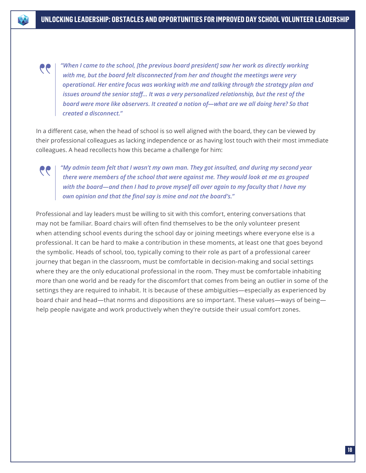*"When I came to the school, [the previous board president] saw her work as directly working with me, but the board felt disconnected from her and thought the meetings were very operational. Her entire focus was working with me and talking through the strategy plan and issues around the senior staff... It was a very personalized relationship, but the rest of the board were more like observers. It created a notion of—what are we all doing here? So that created a disconnect."*

In a different case, when the head of school is so well aligned with the board, they can be viewed by their professional colleagues as lacking independence or as having lost touch with their most immediate colleagues. A head recollects how this became a challenge for him:

 $\bullet$ 

*"My admin team felt that I wasn't my own man. They got insulted, and during my second year there were members of the school that were against me. They would look at me as grouped with the board—and then I had to prove myself all over again to my faculty that I have my own opinion and that the final say is mine and not the board's."*

Professional and lay leaders must be willing to sit with this comfort, entering conversations that may not be familiar. Board chairs will often find themselves to be the only volunteer present when attending school events during the school day or joining meetings where everyone else is a professional. It can be hard to make a contribution in these moments, at least one that goes beyond the symbolic. Heads of school, too, typically coming to their role as part of a professional career journey that began in the classroom, must be comfortable in decision-making and social settings where they are the only educational professional in the room. They must be comfortable inhabiting more than one world and be ready for the discomfort that comes from being an outlier in some of the settings they are required to inhabit. It is because of these ambiguities—especially as experienced by board chair and head—that norms and dispositions are so important. These values—ways of being help people navigate and work productively when they're outside their usual comfort zones.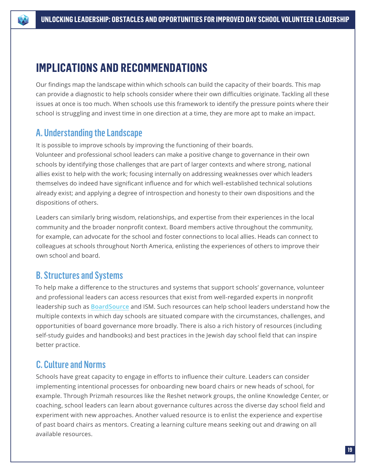

# **IMPLICATIONS AND RECOMMENDATIONS**

Our findings map the landscape within which schools can build the capacity of their boards. This map can provide a diagnostic to help schools consider where their own difficulties originate. Tackling all these issues at once is too much. When schools use this framework to identify the pressure points where their school is struggling and invest time in one direction at a time, they are more apt to make an impact.

## A. Understanding the Landscape

It is possible to improve schools by improving the functioning of their boards.

Volunteer and professional school leaders can make a positive change to governance in their own schools by identifying those challenges that are part of larger contexts and where strong, national allies exist to help with the work; focusing internally on addressing weaknesses over which leaders themselves do indeed have significant influence and for which well-established technical solutions already exist; and applying a degree of introspection and honesty to their own dispositions and the dispositions of others.

Leaders can similarly bring wisdom, relationships, and expertise from their experiences in the local community and the broader nonprofit context. Board members active throughout the community, for example, can advocate for the school and foster connections to local allies. Heads can connect to colleagues at schools throughout North America, enlisting the experiences of others to improve their own school and board.

## B. Structures and Systems

To help make a difference to the structures and systems that support schools' governance, volunteer and professional leaders can access resources that exist from well-regarded experts in nonprofit leadership such as **[BoardSource](https://boardsource.org)** and ISM. Such resources can help school leaders understand how the multiple contexts in which day schools are situated compare with the circumstances, challenges, and opportunities of board governance more broadly. There is also a rich history of resources (including self-study guides and handbooks) and best practices in the Jewish day school field that can inspire better practice.

## C. Culture and Norms

Schools have great capacity to engage in efforts to influence their culture. Leaders can consider implementing intentional processes for onboarding new board chairs or new heads of school, for example. Through Prizmah resources like the Reshet network groups, the online Knowledge Center, or coaching, school leaders can learn about governance cultures across the diverse day school field and experiment with new approaches. Another valued resource is to enlist the experience and expertise of past board chairs as mentors. Creating a learning culture means seeking out and drawing on all available resources.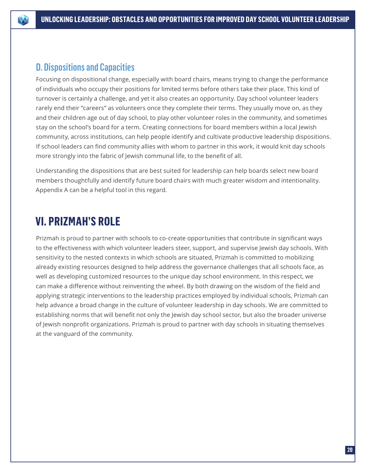

## D. Dispositions and Capacities

Focusing on dispositional change, especially with board chairs, means trying to change the performance of individuals who occupy their positions for limited terms before others take their place. This kind of turnover is certainly a challenge, and yet it also creates an opportunity. Day school volunteer leaders rarely end their "careers" as volunteers once they complete their terms. They usually move on, as they and their children age out of day school, to play other volunteer roles in the community, and sometimes stay on the school's board for a term. Creating connections for board members within a local Jewish community, across institutions, can help people identify and cultivate productive leadership dispositions. If school leaders can find community allies with whom to partner in this work, it would knit day schools more strongly into the fabric of Jewish communal life, to the benefit of all.

Understanding the dispositions that are best suited for leadership can help boards select new board members thoughtfully and identify future board chairs with much greater wisdom and intentionality. Appendix A can be a helpful tool in this regard.

# **VI. PRIZMAH'S ROLE**

Prizmah is proud to partner with schools to co-create opportunities that contribute in significant ways to the effectiveness with which volunteer leaders steer, support, and supervise Jewish day schools. With sensitivity to the nested contexts in which schools are situated, Prizmah is committed to mobilizing already existing resources designed to help address the governance challenges that all schools face, as well as developing customized resources to the unique day school environment. In this respect, we can make a difference without reinventing the wheel. By both drawing on the wisdom of the field and applying strategic interventions to the leadership practices employed by individual schools, Prizmah can help advance a broad change in the culture of volunteer leadership in day schools. We are committed to establishing norms that will benefit not only the Jewish day school sector, but also the broader universe of Jewish nonprofit organizations. Prizmah is proud to partner with day schools in situating themselves at the vanguard of the community.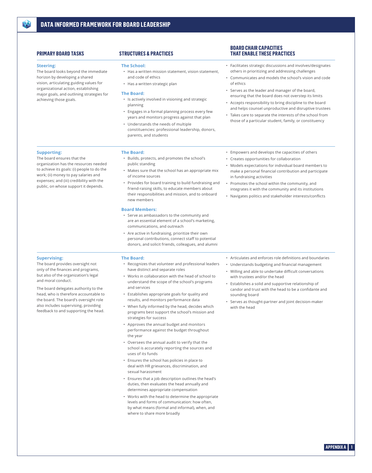#### **Steering:**

**Supporting:**

The board ensures that the

organization has the resources needed to achieve its goals: (i) people to do the work; (ii) money to pay salaries and expenses; and (iii) credibility with the public, on whose support it depends.

The board looks beyond the immediate horizon by developing a shared vision, articulating guiding values for organizational action, establishing major goals, and outlining strategies for achieving those goals.

#### **PRIMARY BOARD TASKS STRUCTURES & PRACTICES**

#### **The School:**

- Has a written mission statement, vision statement, and code of ethics
- Has a written strategic plan

#### **The Board:**

- Is actively involved in visioning and strategic planning
- Engages in a formal planning process every few years and monitors progress against that plan
- Understands the needs of multiple constituencies: professional leadership, donors,
- parents, and students
- **The Board:** • Builds, protects, and promotes the school's public standing
- Makes sure that the school has an appropriate mix of income sources
- Provides for board training to build fundraising and friend-raising skills, to educate members about their responsibilities and mission, and to onboard new members

#### **Board Members:**

- Serve as ambassadors to the community and are an essential element of a school's marketing, communications, and outreach
- Are active in fundraising, prioritize their own personal contributions, connect staff to potential donors, and solicit friends, colleagues, and alumni

#### **Supervising:**

The board provides oversight not only of the finances and programs, but also of the organization's legal and moral conduct.

The board delegates authority to the head, who is therefore accountable to the board. The board's oversight role also includes supervising, providing feedback to and supporting the head.

#### **The Board:**

- Recognizes that volunteer and professional leaders have distinct and separate roles
- Works in collaboration with the head of school to understand the scope of the school's programs and services
- Establishes appropriate goals for quality and results, and monitors performance data
- When fully informed by the head, decides which programs best support the school's mission and strategies for success
- Approves the annual budget and monitors performance against the budget throughout the year
- Oversees the annual audit to verify that the school is accurately reporting the sources and uses of its funds
- Ensures the school has policies in place to deal with HR grievances, discrimination, and sexual harassment
- Ensures that a job description outlines the head's duties, then evaluates the head annually and determines appropriate compensation
- Works with the head to determine the appropriate levels and forms of communication: how often, by what means (formal and informal), when, and where to share more broadly

#### • Articulates and enforces role definitions and boundaries

- Understands budgeting and financial management • Willing and able to undertake difficult conversations with trustees and/or the head
- Establishes a solid and supportive relationship of candor and trust with the head to be a confidante and sounding board
- Serves as thought-partner and joint decision-maker with the head

#### **BOARD CHAIR CAPACITIES THAT ENABLE THESE PRACTICES**

- Facilitates strategic discussions and involves/designates others in prioritizing and addressing challenges
- Communicates and models the school's vision and code of ethics
- Serves as the leader and manager of the board, ensuring that the board does not overstep its limits
- Accepts responsibility to bring discipline to the board and helps counsel unproductive and disruptive trustees
- Takes care to separate the interests of the school from those of a particular student, family, or constituency
- Empowers and develops the capacities of others
- Creates opportunities for collaboration
- Models expectations for individual board members to make a personal financial contribution and participate in fundraising activities
- Promotes the school within the community, and integrates it with the community and its institutions
- Navigates politics and stakeholder interests/conflicts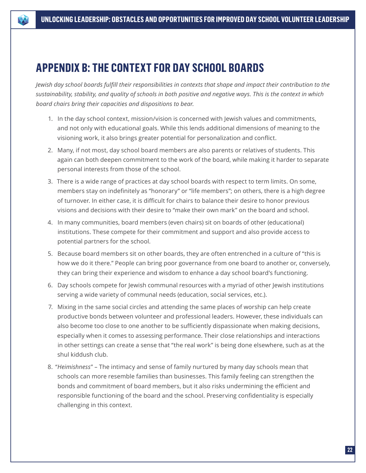# **APPENDIX B: THE CONTEXT FOR DAY SCHOOL BOARDS**

*Jewish day school boards fulfill their responsibilities in contexts that shape and impact their contribution to the sustainability, stability, and quality of schools in both positive and negative ways. This is the context in which board chairs bring their capacities and dispositions to bear.*

- 1. In the day school context, mission/vision is concerned with Jewish values and commitments, and not only with educational goals. While this lends additional dimensions of meaning to the visioning work, it also brings greater potential for personalization and conflict.
- 2. Many, if not most, day school board members are also parents or relatives of students. This again can both deepen commitment to the work of the board, while making it harder to separate personal interests from those of the school.
- 3. There is a wide range of practices at day school boards with respect to term limits. On some, members stay on indefinitely as "honorary" or "life members"; on others, there is a high degree of turnover. In either case, it is difficult for chairs to balance their desire to honor previous visions and decisions with their desire to "make their own mark" on the board and school.
- 4. In many communities, board members (even chairs) sit on boards of other (educational) institutions. These compete for their commitment and support and also provide access to potential partners for the school.
- 5. Because board members sit on other boards, they are often entrenched in a culture of "this is how we do it there." People can bring poor governance from one board to another or, conversely, they can bring their experience and wisdom to enhance a day school board's functioning.
- 6. Day schools compete for Jewish communal resources with a myriad of other Jewish institutions serving a wide variety of communal needs (education, social services, etc.).
- 7. Mixing in the same social circles and attending the same places of worship can help create productive bonds between volunteer and professional leaders. However, these individuals can also become too close to one another to be sufficiently dispassionate when making decisions, especially when it comes to assessing performance. Their close relationships and interactions in other settings can create a sense that "the real work" is being done elsewhere, such as at the shul kiddush club.
- 8. "*Heimishness*" The intimacy and sense of family nurtured by many day schools mean that schools can more resemble families than businesses. This family feeling can strengthen the bonds and commitment of board members, but it also risks undermining the efficient and responsible functioning of the board and the school. Preserving confidentiality is especially challenging in this context.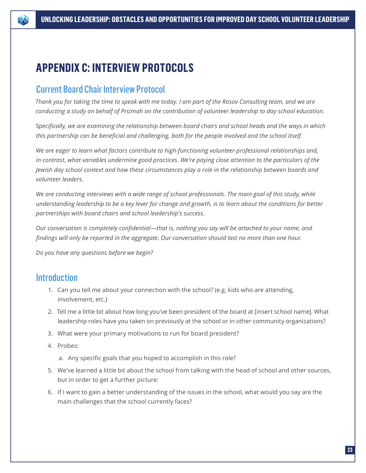

# **APPENDIX C: INTERVIEW PROTOCOLS**

## Current Board Chair Interview Protocol

*Thank you for taking the time to speak with me today. I am part of the Rosov Consulting team, and we are conducting a study on behalf of Prizmah on the contribution of volunteer leadership to day school education.* 

*Specifically, we are examining the relationship between board chairs and school heads and the ways in which this partnership can be beneficial and challenging, both for the people involved and the school itself.* 

*We are eager to learn what factors contribute to high-functioning volunteer-professional relationships and, in contrast, what variables undermine good practices. We're paying close attention to the particulars of the Jewish day school context and how these circumstances play a role in the relationship between boards and volunteer leaders.* 

*We are conducting interviews with a wide range of school professionals. The main goal of this study, while understanding leadership to be a key lever for change and growth, is to learn about the conditions for better partnerships with board chairs and school leadership's success.* 

*Our conversation is completely confidential—that is, nothing you say will be attached to your name, and findings will only be reported in the aggregate. Our conversation should last no more than one hour.* 

*Do you have any questions before we begin?*

## **Introduction**

- 1. Can you tell me about your connection with the school? (e.g. kids who are attending, involvement, etc.)
- 2. Tell me a little bit about how long you've been president of the board at [insert school name]. What leadership roles have you taken on previously at the school or in other community organizations?
- 3. What were your primary motivations to run for board president?
- 4. Probes:
	- a. Any specific goals that you hoped to accomplish in this role?
- 5. We've learned a little bit about the school from talking with the head of school and other sources, but in order to get a further picture:
- 6. If I want to gain a better understanding of the issues in the school, what would you say are the main challenges that the school currently faces?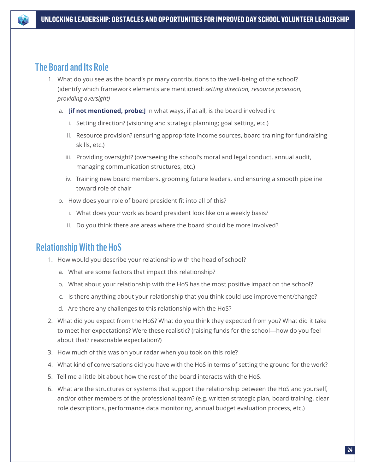## The Board and Its Role

- 1. What do you see as the board's primary contributions to the well-being of the school? (identify which framework elements are mentioned: *setting direction, resource provision, providing oversight)*
	- a. **[if not mentioned, probe:]** In what ways, if at all, is the board involved in:
		- i. Setting direction? (visioning and strategic planning; goal setting, etc.)
		- ii. Resource provision? (ensuring appropriate income sources, board training for fundraising skills, etc.)
		- iii. Providing oversight? (overseeing the school's moral and legal conduct, annual audit, managing communication structures, etc.)
		- iv. Training new board members, grooming future leaders, and ensuring a smooth pipeline toward role of chair
	- b. How does your role of board president fit into all of this?
		- i. What does your work as board president look like on a weekly basis?
		- ii. Do you think there are areas where the board should be more involved?

## Relationship With the HoS

- 1. How would you describe your relationship with the head of school?
	- a. What are some factors that impact this relationship?
	- b. What about your relationship with the HoS has the most positive impact on the school?
	- c. Is there anything about your relationship that you think could use improvement/change?
	- d. Are there any challenges to this relationship with the HoS?
- 2. What did you expect from the HoS? What do you think they expected from you? What did it take to meet her expectations? Were these realistic? (raising funds for the school—how do you feel about that? reasonable expectation?)
- 3. How much of this was on your radar when you took on this role?
- 4. What kind of conversations did you have with the HoS in terms of setting the ground for the work?
- 5. Tell me a little bit about how the rest of the board interacts with the HoS.
- 6. What are the structures or systems that support the relationship between the HoS and yourself, and/or other members of the professional team? (e.g. written strategic plan, board training, clear role descriptions, performance data monitoring, annual budget evaluation process, etc.)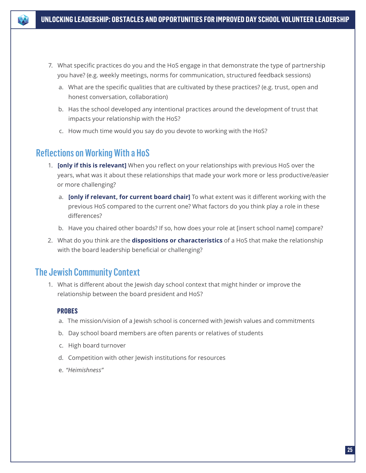

- 7. What specific practices do you and the HoS engage in that demonstrate the type of partnership you have? (e.g. weekly meetings, norms for communication, structured feedback sessions)
	- a. What are the specific qualities that are cultivated by these practices? (e.g. trust, open and honest conversation, collaboration)
	- b. Has the school developed any intentional practices around the development of trust that impacts your relationship with the HoS?
	- c. How much time would you say do you devote to working with the HoS?

## Reflections on Working With a HoS

- 1. **[only if this is relevant]** When you reflect on your relationships with previous HoS over the years, what was it about these relationships that made your work more or less productive/easier or more challenging?
	- a. **[only if relevant, for current board chair]** To what extent was it different working with the previous HoS compared to the current one? What factors do you think play a role in these differences?
	- b. Have you chaired other boards? If so, how does your role at [insert school name] compare?
- 2. What do you think are the **dispositions or characteristics** of a HoS that make the relationship with the board leadership beneficial or challenging?

## The Jewish Community Context

1. What is different about the Jewish day school context that might hinder or improve the relationship between the board president and HoS?

## **PROBES**

- a. The mission/vision of a Jewish school is concerned with Jewish values and commitments
- b. Day school board members are often parents or relatives of students
- c. High board turnover
- d. Competition with other Jewish institutions for resources
- e. *"Heimishness"*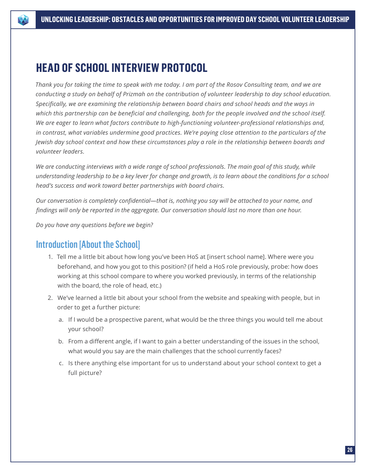

# **HEAD OF SCHOOL INTERVIEW PROTOCOL**

*Thank you for taking the time to speak with me today. I am part of the Rosov Consulting team, and we are conducting a study on behalf of Prizmah on the contribution of volunteer leadership to day school education. Specifically, we are examining the relationship between board chairs and school heads and the ways in which this partnership can be beneficial and challenging, both for the people involved and the school itself. We are eager to learn what factors contribute to high-functioning volunteer-professional relationships and, in contrast, what variables undermine good practices. We're paying close attention to the particulars of the Jewish day school context and how these circumstances play a role in the relationship between boards and volunteer leaders.* 

*We are conducting interviews with a wide range of school professionals. The main goal of this study, while understanding leadership to be a key lever for change and growth, is to learn about the conditions for a school head's success and work toward better partnerships with board chairs.* 

*Our conversation is completely confidential—that is, nothing you say will be attached to your name, and findings will only be reported in the aggregate. Our conversation should last no more than one hour.* 

*Do you have any questions before we begin?*

## Introduction [About the School]

- 1. Tell me a little bit about how long you've been HoS at [insert school name]. Where were you beforehand, and how you got to this position? (if held a HoS role previously, probe: how does working at this school compare to where you worked previously, in terms of the relationship with the board, the role of head, etc.)
- 2. We've learned a little bit about your school from the website and speaking with people, but in order to get a further picture:
	- a. If I would be a prospective parent, what would be the three things you would tell me about your school?
	- b. From a different angle, if I want to gain a better understanding of the issues in the school, what would you say are the main challenges that the school currently faces?
	- c. Is there anything else important for us to understand about your school context to get a full picture?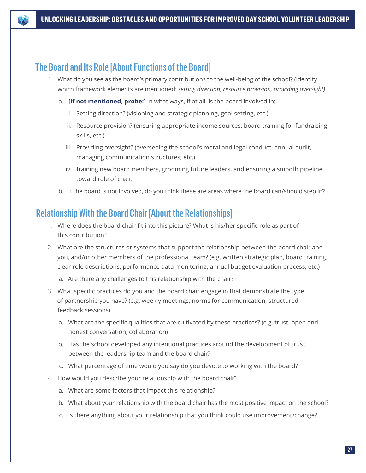

## The Board and Its Role [About Functions of the Board]

- 1. What do you see as the board's primary contributions to the well-being of the school? (identify which framework elements are mentioned: *setting direction, resource provision, providing oversight)*
	- a. **[if not mentioned, probe:]** In what ways, if at all, is the board involved in:
		- i. Setting direction? (visioning and strategic planning, goal setting, etc.)
		- ii. Resource provision? (ensuring appropriate income sources, board training for fundraising skills, etc.)
		- iii. Providing oversight? (overseeing the school's moral and legal conduct, annual audit, managing communication structures, etc.)
		- iv. Training new board members, grooming future leaders, and ensuring a smooth pipeline toward role of chair.
	- b. If the board is not involved, do you think these are areas where the board can/should step in?

## Relationship With the Board Chair [About the Relationships]

- 1. Where does the board chair fit into this picture? What is his/her specific role as part of this contribution?
- 2. What are the structures or systems that support the relationship between the board chair and you, and/or other members of the professional team? (e.g. written strategic plan, board training, clear role descriptions, performance data monitoring, annual budget evaluation process, etc.)
	- a. Are there any challenges to this relationship with the chair?
- 3. What specific practices do you and the board chair engage in that demonstrate the type of partnership you have? (e.g. weekly meetings, norms for communication, structured feedback sessions)
	- a. What are the specific qualities that are cultivated by these practices? (e.g. trust, open and honest conversation, collaboration)
	- b. Has the school developed any intentional practices around the development of trust between the leadership team and the board chair?
	- c. What percentage of time would you say do you devote to working with the board?
- 4. How would you describe your relationship with the board chair?
	- a. What are some factors that impact this relationship?
	- b. What about your relationship with the board chair has the most positive impact on the school?
	- c. Is there anything about your relationship that you think could use improvement/change?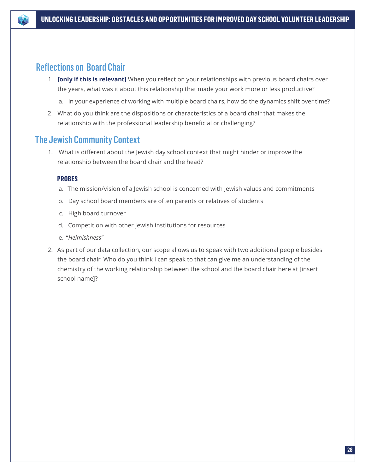

## Reflections on Board Chair

- 1. **[only if this is relevant]** When you reflect on your relationships with previous board chairs over the years, what was it about this relationship that made your work more or less productive?
	- a. In your experience of working with multiple board chairs, how do the dynamics shift over time?
- 2. What do you think are the dispositions or characteristics of a board chair that makes the relationship with the professional leadership beneficial or challenging?

## The Jewish Community Context

1. What is different about the Jewish day school context that might hinder or improve the relationship between the board chair and the head?

## **PROBES**

- a. The mission/vision of a Jewish school is concerned with Jewish values and commitments
- b. Day school board members are often parents or relatives of students
- c. High board turnover
- d. Competition with other Jewish institutions for resources
- e. "*Heimishness*"
- 2. As part of our data collection, our scope allows us to speak with two additional people besides the board chair. Who do you think I can speak to that can give me an understanding of the chemistry of the working relationship between the school and the board chair here at [insert school name]?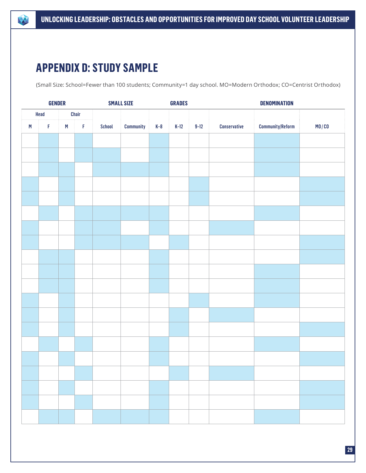

# **APPENDIX D: STUDY SAMPLE**

(Small Size: School=Fewer than 100 students; Community=1 day school. MO=Modern Orthodox; CO=Centrist Orthodox)

|      | <b>GENDER</b> |       |             | <b>SMALL SIZE</b> |           | <b>GRADES</b> |        |          | <b>DENOMINATION</b> |                         |       |
|------|---------------|-------|-------------|-------------------|-----------|---------------|--------|----------|---------------------|-------------------------|-------|
| Head |               | Chair |             |                   |           |               |        |          |                     |                         |       |
| M    | $\mathsf F$   | M     | $\mathsf F$ | School            | Community | $K-8$         | $K-12$ | $9 - 12$ | Conservative        | <b>Community/Reform</b> | MO/CO |
|      |               |       |             |                   |           |               |        |          |                     |                         |       |
|      |               |       |             |                   |           |               |        |          |                     |                         |       |
|      |               |       |             |                   |           |               |        |          |                     |                         |       |
|      |               |       |             |                   |           |               |        |          |                     |                         |       |
|      |               |       |             |                   |           |               |        |          |                     |                         |       |
|      |               |       |             |                   |           |               |        |          |                     |                         |       |
|      |               |       |             |                   |           |               |        |          |                     |                         |       |
|      |               |       |             |                   |           |               |        |          |                     |                         |       |
|      |               |       |             |                   |           |               |        |          |                     |                         |       |
|      |               |       |             |                   |           |               |        |          |                     |                         |       |
|      |               |       |             |                   |           |               |        |          |                     |                         |       |
|      |               |       |             |                   |           |               |        |          |                     |                         |       |
|      |               |       |             |                   |           |               |        |          |                     |                         |       |
|      |               |       |             |                   |           |               |        |          |                     |                         |       |
|      |               |       |             |                   |           |               |        |          |                     |                         |       |
|      |               |       |             |                   |           |               |        |          |                     |                         |       |
|      |               |       |             |                   |           |               |        |          |                     |                         |       |
|      |               |       |             |                   |           |               |        |          |                     |                         |       |
|      |               |       |             |                   |           |               |        |          |                     |                         |       |
|      |               |       |             |                   |           |               |        |          |                     |                         |       |
|      |               |       |             |                   |           |               |        |          |                     |                         |       |
|      |               |       |             |                   |           |               |        |          |                     |                         |       |
|      |               |       |             |                   |           |               |        |          |                     |                         |       |
|      |               |       |             |                   |           |               |        |          |                     |                         |       |
|      |               |       |             |                   |           |               |        |          |                     |                         |       |